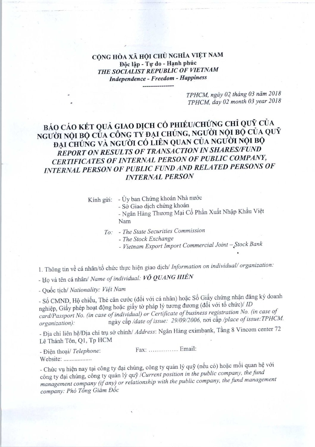CỘNG HÒA XÃ HỘI CHỦ NGHĨA VIỆT NAM Độc lập - Tư do - Hạnh phúc THE SOCIALIST REPUBLIC OF VIETNAM Independence -Freedom -Happiness

> TPHCM, ngày 02 tháng 03 năm 2018 TPHCM, day 02 month 03 year 2018

## BÁO CÁO KẾT QUẢ GIAO DỊCH CỔ PHIẾU/CHỨNG CHỈ QUỸ CỦA NGƯỜI NỘI BỘ CỦA CÔNG TY ĐẠI CHÚNG, NGƯỜI NỘI BỘ CỦA QUY ĐẠI CHÚNG VÀ NGƯỜI CÓ LIÊN QUAN CỦA NGƯỜI NỘI BỘ REPORT ON RESULTS OF TRANSACTION IN SHARES/FUND CERTIFICATES OF INTERNAL PERSON OF PUBLIC COMPANY, INTERNAL PERSON OF PUBLIC FUND AND RELATED PERSONS OF **INTERNAL PERSON**

Kính gửi: - Ủy ban Chứng khoán Nhà nước

- Sở Giao dịch chứng khoán

- Ngân Hàng Thương Mại Cổ Phần Xuất Nhập Khẩu Việt Nam

To: - The State Securities Commission

- The Stock Exchange

- Vietnam Export Import Commercial Joint - Stock Bank

1. Thông tin về cá nhân/tổ chức thực hiện giao dịch/ Information on individual/ organization:

- Họ và tên cá nhân/ Name of individual: VÕ QUANG HIỂN

- Quốc tịch/ Nationality: Việt Nam

~ So chiếu, Thiếu, Thiếu, Chiếu, Chiếu, Chiếu, Các (dối với cá nhân) hoặc Số Giấy chứng nhận đăng ký doanh nghiệp, Giấy phép hoạt động hoặc giấy tờ pháp lý tương đương (đối với tổ chức)/ ID card/Passport No. (in case of individual) or Certificate of business registration No. (in case of<br>organization): ngàv cấp /date of issue: 29/09/2006, noi cấp /place of issue: TPHCM. France Correlation): France and *Name of individual:* **VÕ QUANG HIỂN**<br>
- Quốc tịch/ Nationality: Việt Nam<br>
- Số CMND, Hộ chiếu, Thẻ căn cước (đối với cá nhân) hoặc Số Giấy chứng nhận đăng ký doanh<br>
nghiệp, Giấy phép hoạt - Số CMND, Hộ chiều, Thế can cước (dối với cả linh) hoặc b<br>nghiệp, Giấy phép hoạt động hoặc giấy tờ pháp lý tương đươn<br>card/Passport No. (in case of individual) or Certificate of busi<br>organization): ngày cấp /date of issue

 $\sum_{n=1}^{\infty}$  chi lien hâ/Dia chi tru sở chính/ Address: Ngân Hàng eximbank, Tầng 8 Vincom center 72 Lê Thánh Tôn, Q1, Tp HCM

Website:

- Chức vụ hiện nay tại công ty đại chúng, công ty quản lý quỹ (nếu có) hoặc mối quan hệ với công ty đại chúng, công ty quản lý quỹ / Current position in the public company, the fund management company (if any) or relationship with the public company, the fund management company: Phó Tổng Giám Đốc